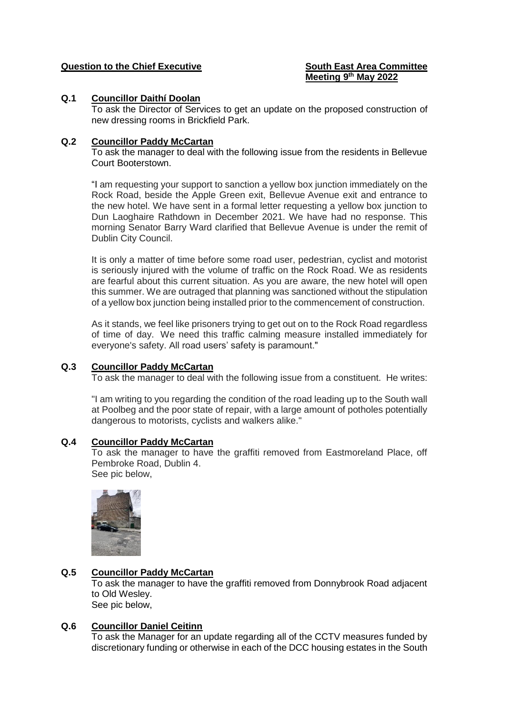# **Question to the Chief Executive <b>South East Area Committee**

# **Meeting 9 th May 2022**

#### **Q.1 Councillor Daithí Doolan**

To ask the Director of Services to get an update on the proposed construction of new dressing rooms in Brickfield Park.

#### **Q.2 Councillor Paddy McCartan**

To ask the manager to deal with the following issue from the residents in Bellevue Court Booterstown.

"I am requesting your support to sanction a yellow box junction immediately on the Rock Road, beside the Apple Green exit, Bellevue Avenue exit and entrance to the new hotel. We have sent in a formal letter requesting a yellow box junction to Dun Laoghaire Rathdown in December 2021. We have had no response. This morning Senator Barry Ward clarified that Bellevue Avenue is under the remit of Dublin City Council.

It is only a matter of time before some road user, pedestrian, cyclist and motorist is seriously injured with the volume of traffic on the Rock Road. We as residents are fearful about this current situation. As you are aware, the new hotel will open this summer. We are outraged that planning was sanctioned without the stipulation of a yellow box junction being installed prior to the commencement of construction.

As it stands, we feel like prisoners trying to get out on to the Rock Road regardless of time of day. We need this traffic calming measure installed immediately for everyone's safety. All road users' safety is paramount."

## **Q.3 Councillor Paddy McCartan**

To ask the manager to deal with the following issue from a constituent. He writes:

"I am writing to you regarding the condition of the road leading up to the South wall at Poolbeg and the poor state of repair, with a large amount of potholes potentially dangerous to motorists, cyclists and walkers alike."

#### **Q.4 Councillor Paddy McCartan**

To ask the manager to have the graffiti removed from Eastmoreland Place, off Pembroke Road, Dublin 4. See pic below,



## **Q.5 Councillor Paddy McCartan**

To ask the manager to have the graffiti removed from Donnybrook Road adjacent to Old Wesley. See pic below,

## **Q.6 Councillor Daniel Ceitinn**

To ask the Manager for an update regarding all of the CCTV measures funded by discretionary funding or otherwise in each of the DCC housing estates in the South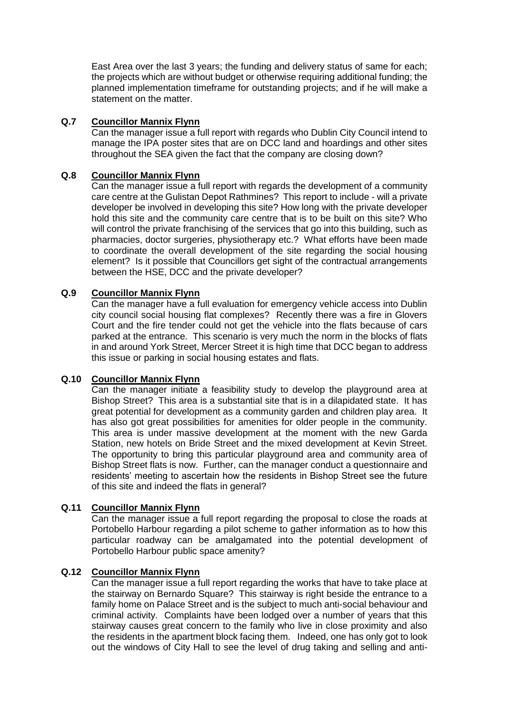East Area over the last 3 years; the funding and delivery status of same for each; the projects which are without budget or otherwise requiring additional funding; the planned implementation timeframe for outstanding projects; and if he will make a statement on the matter.

# **Q.7 Councillor Mannix Flynn**

Can the manager issue a full report with regards who Dublin City Council intend to manage the IPA poster sites that are on DCC land and hoardings and other sites throughout the SEA given the fact that the company are closing down?

# **Q.8 Councillor Mannix Flynn**

Can the manager issue a full report with regards the development of a community care centre at the Gulistan Depot Rathmines? This report to include - will a private developer be involved in developing this site? How long with the private developer hold this site and the community care centre that is to be built on this site? Who will control the private franchising of the services that go into this building, such as pharmacies, doctor surgeries, physiotherapy etc.? What efforts have been made to coordinate the overall development of the site regarding the social housing element? Is it possible that Councillors get sight of the contractual arrangements between the HSE, DCC and the private developer?

# **Q.9 Councillor Mannix Flynn**

Can the manager have a full evaluation for emergency vehicle access into Dublin city council social housing flat complexes? Recently there was a fire in Glovers Court and the fire tender could not get the vehicle into the flats because of cars parked at the entrance. This scenario is very much the norm in the blocks of flats in and around York Street, Mercer Street it is high time that DCC began to address this issue or parking in social housing estates and flats.

## **Q.10 Councillor Mannix Flynn**

Can the manager initiate a feasibility study to develop the playground area at Bishop Street? This area is a substantial site that is in a dilapidated state. It has great potential for development as a community garden and children play area. It has also got great possibilities for amenities for older people in the community. This area is under massive development at the moment with the new Garda Station, new hotels on Bride Street and the mixed development at Kevin Street. The opportunity to bring this particular playground area and community area of Bishop Street flats is now. Further, can the manager conduct a questionnaire and residents' meeting to ascertain how the residents in Bishop Street see the future of this site and indeed the flats in general?

# **Q.11 Councillor Mannix Flynn**

Can the manager issue a full report regarding the proposal to close the roads at Portobello Harbour regarding a pilot scheme to gather information as to how this particular roadway can be amalgamated into the potential development of Portobello Harbour public space amenity?

## **Q.12 Councillor Mannix Flynn**

Can the manager issue a full report regarding the works that have to take place at the stairway on Bernardo Square? This stairway is right beside the entrance to a family home on Palace Street and is the subject to much anti-social behaviour and criminal activity. Complaints have been lodged over a number of years that this stairway causes great concern to the family who live in close proximity and also the residents in the apartment block facing them. Indeed, one has only got to look out the windows of City Hall to see the level of drug taking and selling and anti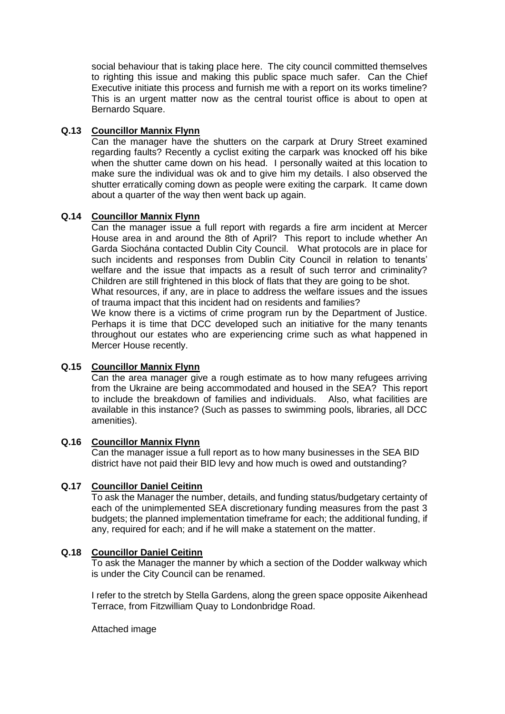social behaviour that is taking place here. The city council committed themselves to righting this issue and making this public space much safer. Can the Chief Executive initiate this process and furnish me with a report on its works timeline? This is an urgent matter now as the central tourist office is about to open at Bernardo Square.

# **Q.13 Councillor Mannix Flynn**

Can the manager have the shutters on the carpark at Drury Street examined regarding faults? Recently a cyclist exiting the carpark was knocked off his bike when the shutter came down on his head. I personally waited at this location to make sure the individual was ok and to give him my details. I also observed the shutter erratically coming down as people were exiting the carpark. It came down about a quarter of the way then went back up again.

# **Q.14 Councillor Mannix Flynn**

Can the manager issue a full report with regards a fire arm incident at Mercer House area in and around the 8th of April? This report to include whether An Garda Siochána contacted Dublin City Council. What protocols are in place for such incidents and responses from Dublin City Council in relation to tenants' welfare and the issue that impacts as a result of such terror and criminality? Children are still frightened in this block of flats that they are going to be shot.

What resources, if any, are in place to address the welfare issues and the issues of trauma impact that this incident had on residents and families?

We know there is a victims of crime program run by the Department of Justice. Perhaps it is time that DCC developed such an initiative for the many tenants throughout our estates who are experiencing crime such as what happened in Mercer House recently.

# **Q.15 Councillor Mannix Flynn**

Can the area manager give a rough estimate as to how many refugees arriving from the Ukraine are being accommodated and housed in the SEA? This report to include the breakdown of families and individuals. Also, what facilities are available in this instance? (Such as passes to swimming pools, libraries, all DCC amenities).

## **Q.16 Councillor Mannix Flynn**

Can the manager issue a full report as to how many businesses in the SEA BID district have not paid their BID levy and how much is owed and outstanding?

## **Q.17 Councillor Daniel Ceitinn**

To ask the Manager the number, details, and funding status/budgetary certainty of each of the unimplemented SEA discretionary funding measures from the past 3 budgets; the planned implementation timeframe for each; the additional funding, if any, required for each; and if he will make a statement on the matter.

## **Q.18 Councillor Daniel Ceitinn**

To ask the Manager the manner by which a section of the Dodder walkway which is under the City Council can be renamed.

I refer to the stretch by Stella Gardens, along the green space opposite Aikenhead Terrace, from Fitzwilliam Quay to Londonbridge Road.

Attached image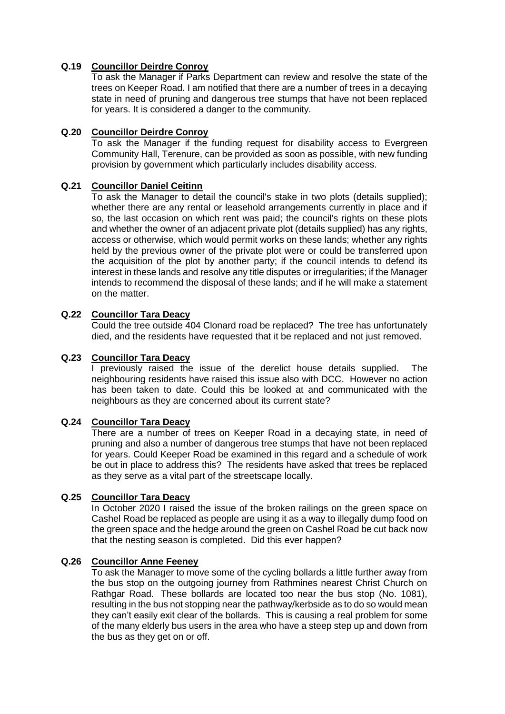# **Q.19 Councillor Deirdre Conroy**

To ask the Manager if Parks Department can review and resolve the state of the trees on Keeper Road. I am notified that there are a number of trees in a decaying state in need of pruning and dangerous tree stumps that have not been replaced for years. It is considered a danger to the community.

## **Q.20 Councillor Deirdre Conroy**

To ask the Manager if the funding request for disability access to Evergreen Community Hall, Terenure, can be provided as soon as possible, with new funding provision by government which particularly includes disability access.

# **Q.21 Councillor Daniel Ceitinn**

To ask the Manager to detail the council's stake in two plots (details supplied); whether there are any rental or leasehold arrangements currently in place and if so, the last occasion on which rent was paid; the council's rights on these plots and whether the owner of an adjacent private plot (details supplied) has any rights, access or otherwise, which would permit works on these lands; whether any rights held by the previous owner of the private plot were or could be transferred upon the acquisition of the plot by another party; if the council intends to defend its interest in these lands and resolve any title disputes or irregularities; if the Manager intends to recommend the disposal of these lands; and if he will make a statement on the matter.

#### **Q.22 Councillor Tara Deacy**

Could the tree outside 404 Clonard road be replaced? The tree has unfortunately died, and the residents have requested that it be replaced and not just removed.

#### **Q.23 Councillor Tara Deacy**

I previously raised the issue of the derelict house details supplied. The neighbouring residents have raised this issue also with DCC. However no action has been taken to date. Could this be looked at and communicated with the neighbours as they are concerned about its current state?

# **Q.24 Councillor Tara Deacy**

There are a number of trees on Keeper Road in a decaying state, in need of pruning and also a number of dangerous tree stumps that have not been replaced for years. Could Keeper Road be examined in this regard and a schedule of work be out in place to address this? The residents have asked that trees be replaced as they serve as a vital part of the streetscape locally.

#### **Q.25 Councillor Tara Deacy**

In October 2020 I raised the issue of the broken railings on the green space on Cashel Road be replaced as people are using it as a way to illegally dump food on the green space and the hedge around the green on Cashel Road be cut back now that the nesting season is completed. Did this ever happen?

#### **Q.26 Councillor Anne Feeney**

To ask the Manager to move some of the cycling bollards a little further away from the bus stop on the outgoing journey from Rathmines nearest Christ Church on Rathgar Road. These bollards are located too near the bus stop (No. 1081), resulting in the bus not stopping near the pathway/kerbside as to do so would mean they can't easily exit clear of the bollards. This is causing a real problem for some of the many elderly bus users in the area who have a steep step up and down from the bus as they get on or off.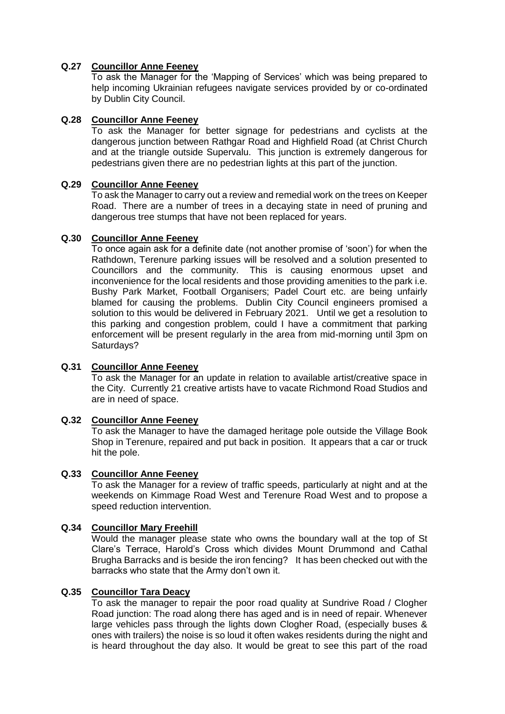# **Q.27 Councillor Anne Feeney**

To ask the Manager for the 'Mapping of Services' which was being prepared to help incoming Ukrainian refugees navigate services provided by or co-ordinated by Dublin City Council.

## **Q.28 Councillor Anne Feeney**

To ask the Manager for better signage for pedestrians and cyclists at the dangerous junction between Rathgar Road and Highfield Road (at Christ Church and at the triangle outside Supervalu. This junction is extremely dangerous for pedestrians given there are no pedestrian lights at this part of the junction.

## **Q.29 Councillor Anne Feeney**

To ask the Manager to carry out a review and remedial work on the trees on Keeper Road. There are a number of trees in a decaying state in need of pruning and dangerous tree stumps that have not been replaced for years.

## **Q.30 Councillor Anne Feeney**

To once again ask for a definite date (not another promise of 'soon') for when the Rathdown, Terenure parking issues will be resolved and a solution presented to Councillors and the community. This is causing enormous upset and inconvenience for the local residents and those providing amenities to the park i.e. Bushy Park Market, Football Organisers; Padel Court etc. are being unfairly blamed for causing the problems. Dublin City Council engineers promised a solution to this would be delivered in February 2021. Until we get a resolution to this parking and congestion problem, could I have a commitment that parking enforcement will be present regularly in the area from mid-morning until 3pm on Saturdays?

## **Q.31 Councillor Anne Feeney**

To ask the Manager for an update in relation to available artist/creative space in the City. Currently 21 creative artists have to vacate Richmond Road Studios and are in need of space.

#### **Q.32 Councillor Anne Feeney**

To ask the Manager to have the damaged heritage pole outside the Village Book Shop in Terenure, repaired and put back in position. It appears that a car or truck hit the pole.

#### **Q.33 Councillor Anne Feeney**

To ask the Manager for a review of traffic speeds, particularly at night and at the weekends on Kimmage Road West and Terenure Road West and to propose a speed reduction intervention.

## **Q.34 Councillor Mary Freehill**

Would the manager please state who owns the boundary wall at the top of St Clare's Terrace, Harold's Cross which divides Mount Drummond and Cathal Brugha Barracks and is beside the iron fencing? It has been checked out with the barracks who state that the Army don't own it.

#### **Q.35 Councillor Tara Deacy**

To ask the manager to repair the poor road quality at Sundrive Road / Clogher Road junction: The road along there has aged and is in need of repair. Whenever large vehicles pass through the lights down Clogher Road, (especially buses & ones with trailers) the noise is so loud it often wakes residents during the night and is heard throughout the day also. It would be great to see this part of the road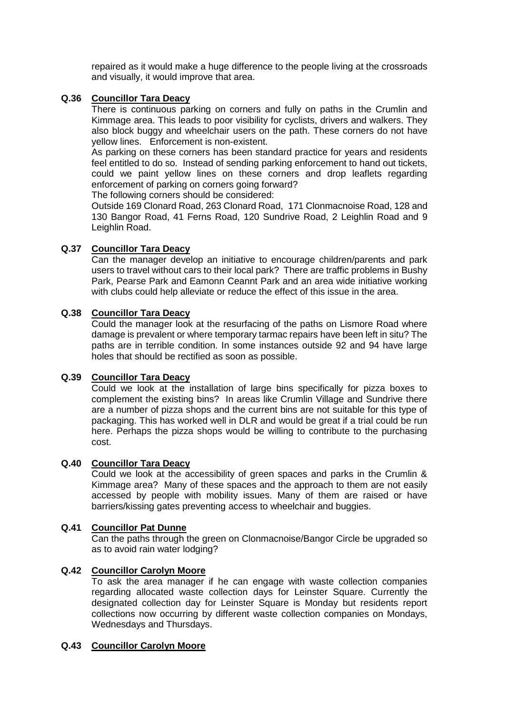repaired as it would make a huge difference to the people living at the crossroads and visually, it would improve that area.

#### **Q.36 Councillor Tara Deacy**

There is continuous parking on corners and fully on paths in the Crumlin and Kimmage area. This leads to poor visibility for cyclists, drivers and walkers. They also block buggy and wheelchair users on the path. These corners do not have yellow lines. Enforcement is non-existent.

As parking on these corners has been standard practice for years and residents feel entitled to do so. Instead of sending parking enforcement to hand out tickets, could we paint yellow lines on these corners and drop leaflets regarding enforcement of parking on corners going forward?

The following corners should be considered:

Outside 169 Clonard Road, 263 Clonard Road, 171 Clonmacnoise Road, 128 and 130 Bangor Road, 41 Ferns Road, 120 Sundrive Road, 2 Leighlin Road and 9 Leighlin Road.

## **Q.37 Councillor Tara Deacy**

Can the manager develop an initiative to encourage children/parents and park users to travel without cars to their local park? There are traffic problems in Bushy Park, Pearse Park and Eamonn Ceannt Park and an area wide initiative working with clubs could help alleviate or reduce the effect of this issue in the area.

## **Q.38 Councillor Tara Deacy**

Could the manager look at the resurfacing of the paths on Lismore Road where damage is prevalent or where temporary tarmac repairs have been left in situ? The paths are in terrible condition. In some instances outside 92 and 94 have large holes that should be rectified as soon as possible.

## **Q.39 Councillor Tara Deacy**

Could we look at the installation of large bins specifically for pizza boxes to complement the existing bins? In areas like Crumlin Village and Sundrive there are a number of pizza shops and the current bins are not suitable for this type of packaging. This has worked well in DLR and would be great if a trial could be run here. Perhaps the pizza shops would be willing to contribute to the purchasing cost.

#### **Q.40 Councillor Tara Deacy**

Could we look at the accessibility of green spaces and parks in the Crumlin & Kimmage area? Many of these spaces and the approach to them are not easily accessed by people with mobility issues. Many of them are raised or have barriers/kissing gates preventing access to wheelchair and buggies.

#### **Q.41 Councillor Pat Dunne**

Can the paths through the green on Clonmacnoise/Bangor Circle be upgraded so as to avoid rain water lodging?

## **Q.42 Councillor Carolyn Moore**

To ask the area manager if he can engage with waste collection companies regarding allocated waste collection days for Leinster Square. Currently the designated collection day for Leinster Square is Monday but residents report collections now occurring by different waste collection companies on Mondays, Wednesdays and Thursdays.

#### **Q.43 Councillor Carolyn Moore**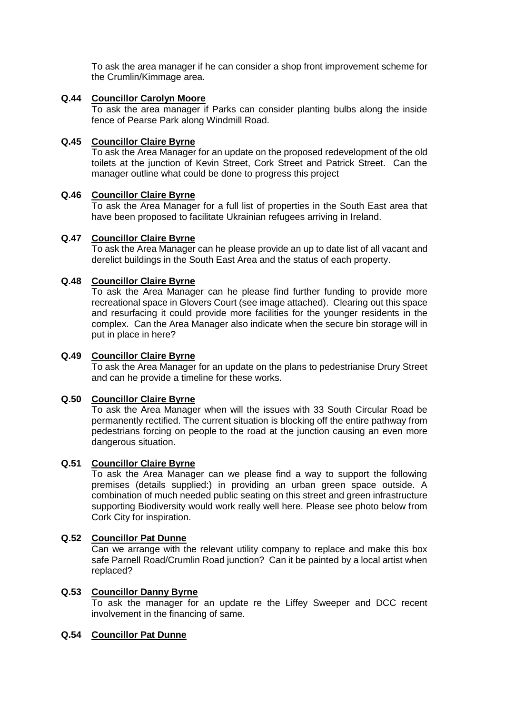To ask the area manager if he can consider a shop front improvement scheme for the Crumlin/Kimmage area.

#### **Q.44 Councillor Carolyn Moore**

To ask the area manager if Parks can consider planting bulbs along the inside fence of Pearse Park along Windmill Road.

#### **Q.45 Councillor Claire Byrne**

To ask the Area Manager for an update on the proposed redevelopment of the old toilets at the junction of Kevin Street, Cork Street and Patrick Street. Can the manager outline what could be done to progress this project

#### **Q.46 Councillor Claire Byrne**

To ask the Area Manager for a full list of properties in the South East area that have been proposed to facilitate Ukrainian refugees arriving in Ireland.

## **Q.47 Councillor Claire Byrne**

To ask the Area Manager can he please provide an up to date list of all vacant and derelict buildings in the South East Area and the status of each property.

## **Q.48 Councillor Claire Byrne**

To ask the Area Manager can he please find further funding to provide more recreational space in Glovers Court (see image attached). Clearing out this space and resurfacing it could provide more facilities for the younger residents in the complex. Can the Area Manager also indicate when the secure bin storage will in put in place in here?

#### **Q.49 Councillor Claire Byrne**

To ask the Area Manager for an update on the plans to pedestrianise Drury Street and can he provide a timeline for these works.

## **Q.50 Councillor Claire Byrne**

To ask the Area Manager when will the issues with 33 South Circular Road be permanently rectified. The current situation is blocking off the entire pathway from pedestrians forcing on people to the road at the junction causing an even more dangerous situation.

#### **Q.51 Councillor Claire Byrne**

To ask the Area Manager can we please find a way to support the following premises (details supplied:) in providing an urban green space outside. A combination of much needed public seating on this street and green infrastructure supporting Biodiversity would work really well here. Please see photo below from Cork City for inspiration.

## **Q.52 Councillor Pat Dunne**

Can we arrange with the relevant utility company to replace and make this box safe Parnell Road/Crumlin Road junction? Can it be painted by a local artist when replaced?

#### **Q.53 Councillor Danny Byrne**

To ask the manager for an update re the Liffey Sweeper and DCC recent involvement in the financing of same.

# **Q.54 Councillor Pat Dunne**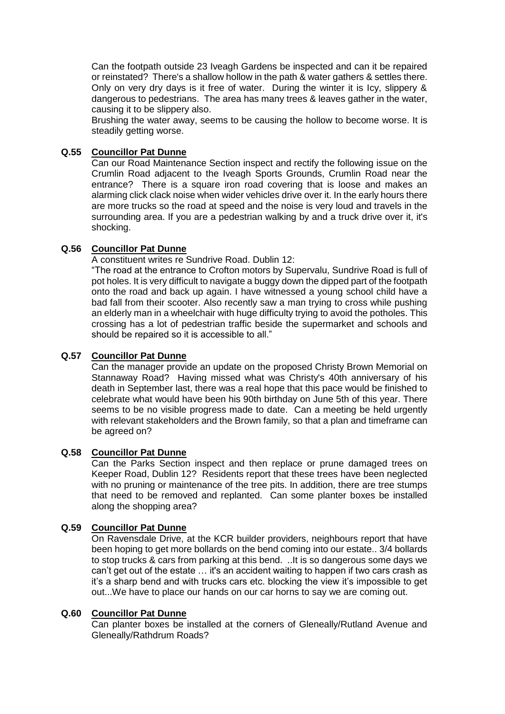Can the footpath outside 23 Iveagh Gardens be inspected and can it be repaired or reinstated? There's a shallow hollow in the path & water gathers & settles there. Only on very dry days is it free of water. During the winter it is Icy, slippery & dangerous to pedestrians. The area has many trees & leaves gather in the water, causing it to be slippery also.

Brushing the water away, seems to be causing the hollow to become worse. It is steadily getting worse.

# **Q.55 Councillor Pat Dunne**

Can our Road Maintenance Section inspect and rectify the following issue on the Crumlin Road adjacent to the Iveagh Sports Grounds, Crumlin Road near the entrance? There is a square iron road covering that is loose and makes an alarming click clack noise when wider vehicles drive over it. In the early hours there are more trucks so the road at speed and the noise is very loud and travels in the surrounding area. If you are a pedestrian walking by and a truck drive over it, it's shocking.

# **Q.56 Councillor Pat Dunne**

A constituent writes re Sundrive Road. Dublin 12:

"The road at the entrance to Crofton motors by Supervalu, Sundrive Road is full of pot holes. It is very difficult to navigate a buggy down the dipped part of the footpath onto the road and back up again. I have witnessed a young school child have a bad fall from their scooter. Also recently saw a man trying to cross while pushing an elderly man in a wheelchair with huge difficulty trying to avoid the potholes. This crossing has a lot of pedestrian traffic beside the supermarket and schools and should be repaired so it is accessible to all."

# **Q.57 Councillor Pat Dunne**

Can the manager provide an update on the proposed Christy Brown Memorial on Stannaway Road? Having missed what was Christy's 40th anniversary of his death in September last, there was a real hope that this pace would be finished to celebrate what would have been his 90th birthday on June 5th of this year. There seems to be no visible progress made to date. Can a meeting be held urgently with relevant stakeholders and the Brown family, so that a plan and timeframe can be agreed on?

## **Q.58 Councillor Pat Dunne**

Can the Parks Section inspect and then replace or prune damaged trees on Keeper Road, Dublin 12? Residents report that these trees have been neglected with no pruning or maintenance of the tree pits. In addition, there are tree stumps that need to be removed and replanted. Can some planter boxes be installed along the shopping area?

## **Q.59 Councillor Pat Dunne**

On Ravensdale Drive, at the KCR builder providers, neighbours report that have been hoping to get more bollards on the bend coming into our estate.. 3/4 bollards to stop trucks & cars from parking at this bend. ..It is so dangerous some days we can't get out of the estate … it's an accident waiting to happen if two cars crash as it's a sharp bend and with trucks cars etc. blocking the view it's impossible to get out...We have to place our hands on our car horns to say we are coming out.

# **Q.60 Councillor Pat Dunne**

Can planter boxes be installed at the corners of Gleneally/Rutland Avenue and Gleneally/Rathdrum Roads?